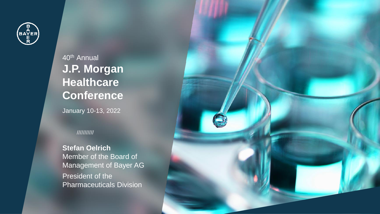

40th Annual **J.P. Morgan Healthcare Conference**

January 10-13, 2022

### ///////////

1 /// JP Morgan Healthcare Conference /// January 10-13, 2022

**Stefan Oelrich** Member of the Board of Management of Bayer AG President of the Pharmaceuticals Division

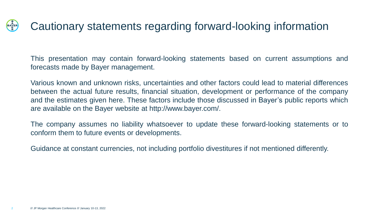### **BAYER** Cautionary statements regarding forward-looking information

This presentation may contain forward-looking statements based on current assumptions and forecasts made by Bayer management.

Various known and unknown risks, uncertainties and other factors could lead to material differences between the actual future results, financial situation, development or performance of the company and the estimates given here. These factors include those discussed in Bayer's public reports which are available on the Bayer website at http://www.bayer.com/.

The company assumes no liability whatsoever to update these forward-looking statements or to conform them to future events or developments.

Guidance at constant currencies, not including portfolio divestitures if not mentioned differently.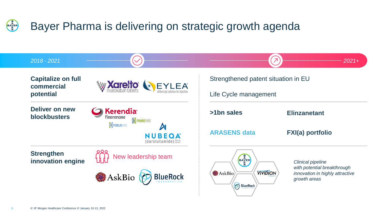### Bayer Pharma is delivering on strategic growth agenda **BAYER**

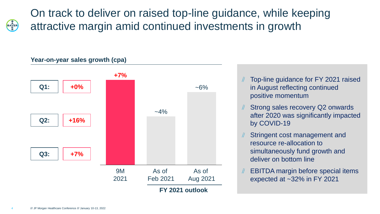**BAYER** 

On track to deliver on raised top-line guidance, while keeping attractive margin amid continued investments in growth

### **Year-on-year sales growth (cpa)**



- Top-line guidance for FY 2021 raised in August reflecting continued positive momentum
- Strong sales recovery Q2 onwards after 2020 was significantly impacted by COVID-19
- Stringent cost management and resource re-allocation to simultaneously fund growth and deliver on bottom line
- EBITDA margin before special items expected at ~32% in FY 2021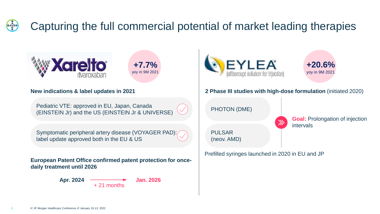### BAYER<br>E Capturing the full commercial potential of market leading therapies



#### **New indications & label updates in 2021**

Pediatric VTE: approved in EU, Japan, Canada (EINSTEIN Jr) and the US (EINSTEIN Jr & UNIVERSE)

Symptomatic peripheral artery disease (VOYAGER PAD): label update approved both in the EU & US

**European Patent Office confirmed patent protection for oncedaily treatment until 2026** 

> **Apr. 2024 Jan. 2026** + 21 months





#### **2 Phase III studies with high-dose formulation** (initiated 2020)

 $\gg$ 

PHOTON (DME)

PULSAR (neov. AMD)

**Goal:** Prolongation of injection intervals

Prefilled syringes launched in 2020 in EU and JP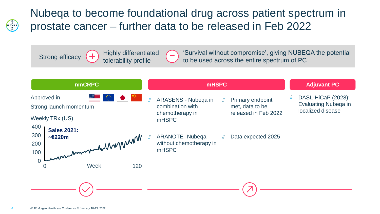

# Nubeqa to become foundational drug across patient spectrum in prostate cancer – further data to be released in Feb 2022

Strong efficacy  $\begin{pmatrix} + \end{pmatrix}$  rightly differential

Highly differentiated

'Survival without compromise', giving NUBEQA the potential to be used across the entire spectrum of PC

| <b>nmCRPC</b>                                                                   | <b>mHSPC</b>                                                                                                                              | <b>Adjuvant PC</b>                                                     |
|---------------------------------------------------------------------------------|-------------------------------------------------------------------------------------------------------------------------------------------|------------------------------------------------------------------------|
| <u> Bernard Sta</u><br>Approved in<br>Strong launch momentum<br>Weekly TRx (US) | ARASENS - Nubeqa in<br>Primary endpoint<br>combination with<br>met, data to be<br>released in Feb 2022<br>chemotherapy in<br><b>mHSPC</b> | DASL-HiCaP (2028):<br><b>Evaluating Nubega in</b><br>localized disease |
| 400<br><b>Sales 2021:</b><br>300<br>annement de Monte<br>200<br>100             | <b>ARANOTE - Nubega</b><br>Data expected 2025<br>without chemotherapy in<br>mHSPC                                                         |                                                                        |
| $\overline{0}$<br>Week<br>120<br>$\Omega$                                       |                                                                                                                                           |                                                                        |
|                                                                                 |                                                                                                                                           |                                                                        |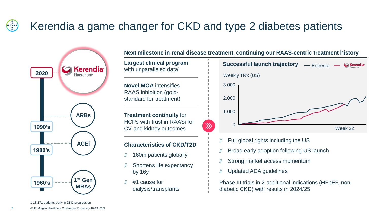### BAYER<br>EAR Kerendia a game changer for CKD and type 2 diabetes patients



**Next milestone in renal disease treatment, continuing our RAAS-centric treatment history**

 $\gg$ 

with unparalleled data<sup>1</sup>

**Novel MOA** intensifies RAAS inhibition (goldstandard for treatment)

**Treatment continuity** for HCPs with trust in RAASi for CV and kidney outcomes

### **Characteristics of CKD/T2D**

- 160m patients globally
- Shortens life expectancy by 16y
- #1 cause for dialysis/transplants



- Full global rights including the US
- Broad early adoption following US launch
- Strong market access momentum
- Updated ADA guidelines

Phase III trials in 2 additional indications (HFpEF, nondiabetic CKD) with results in 2024/25

1 13,171 patients early in DKD progression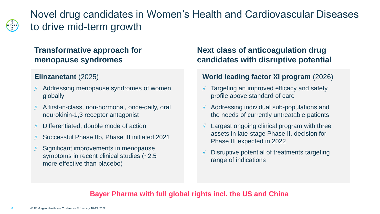BAYER

Novel drug candidates in Women's Health and Cardiovascular Diseases to drive mid-term growth

# **Transformative approach for menopause syndromes**

# **Elinzanetant** (2025)

- Addressing menopause syndromes of women globally
- A first-in-class, non-hormonal, once-daily, oral neurokinin-1,3 receptor antagonist
- Differentiated, double mode of action
- Successful Phase IIb, Phase III initiated 2021
- Significant improvements in menopause symptoms in recent clinical studies (~2.5 more effective than placebo)

# **Next class of anticoagulation drug candidates with disruptive potential**

# **World leading factor XI program** (2026)

- Targeting an improved efficacy and safety profile above standard of care
- Addressing individual sub-populations and the needs of currently untreatable patients
- Largest ongoing clinical program with three assets in late-stage Phase II, decision for Phase III expected in 2022
- Disruptive potential of treatments targeting range of indications

# **Bayer Pharma with full global rights incl. the US and China**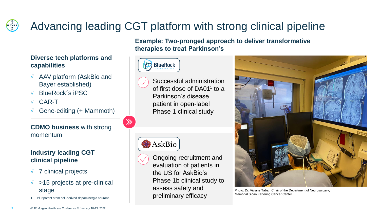### **BAYER** Advancing leading CGT platform with strong clinical pipeline

### **Diverse tech platforms and capabilities**

- AAV platform (AskBio and Bayer established)
- BlueRock´s iPSC
- CAR-T  $\#$
- Gene-editing (+ Mammoth)

**CDMO business** with strong momentum

## **Industry leading CGT clinical pipeline**

- 7 clinical projects
- >15 projects at pre-clinical
- 1. Pluripotent stem cell-derived dopaminergic neurons

**Example: Two-pronged approach to deliver transformative therapies to treat Parkinson's**



Successful administration of first dose of DA01<sup>1</sup> to a Parkinson's disease patient in open-label Phase 1 clinical study

# AskBio

 $\gg$ 





stage Stage Photo: Dr. Viviane Tabar, Chair of the Department of Neurosurgery, Memorial Sloan Kettering Cancer Center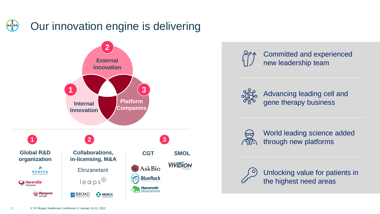### BAYER<br>EAR Our innovation engine is delivering











Unlocking value for patients in the highest need areas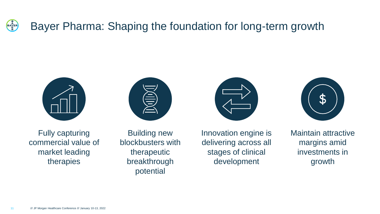### **BAYER** Bayer Pharma: Shaping the foundation for long-term growth



Fully capturing commercial value of market leading therapies

Building new blockbusters with therapeutic breakthrough potential



Innovation engine is delivering across all stages of clinical development



Maintain attractive margins amid investments in growth